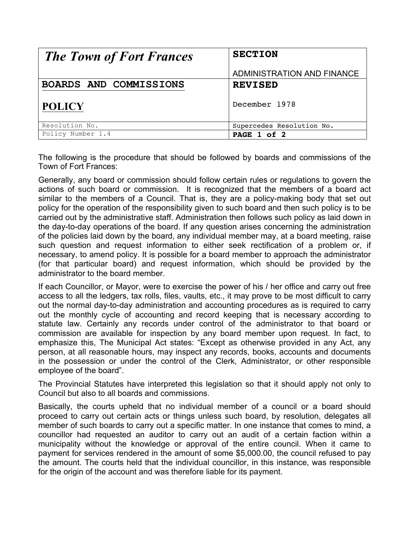| <b>The Town of Fort Frances</b> | <b>SECTION</b>             |
|---------------------------------|----------------------------|
|                                 | ADMINISTRATION AND FINANCE |
| BOARDS AND COMMISSIONS          | <b>REVISED</b>             |
| <b>POLICY</b>                   | December 1978              |
| Resolution No.                  | Supercedes Resolution No.  |
| Policy Number 1.4               | PAGE 1 of 2                |

The following is the procedure that should be followed by boards and commissions of the Town of Fort Frances:

Generally, any board or commission should follow certain rules or regulations to govern the actions of such board or commission. It is recognized that the members of a board act similar to the members of a Council. That is, they are a policy-making body that set out policy for the operation of the responsibility given to such board and then such policy is to be carried out by the administrative staff. Administration then follows such policy as laid down in the day-to-day operations of the board. If any question arises concerning the administration of the policies laid down by the board, any individual member may, at a board meeting, raise such question and request information to either seek rectification of a problem or, if necessary, to amend policy. It is possible for a board member to approach the administrator (for that particular board) and request information, which should be provided by the administrator to the board member.

If each Councillor, or Mayor, were to exercise the power of his / her office and carry out free access to all the ledgers, tax rolls, files, vaults, etc., it may prove to be most difficult to carry out the normal day-to-day administration and accounting procedures as is required to carry out the monthly cycle of accounting and record keeping that is necessary according to statute law. Certainly any records under control of the administrator to that board or commission are available for inspection by any board member upon request. In fact, to emphasize this, The Municipal Act states: "Except as otherwise provided in any Act, any person, at all reasonable hours, may inspect any records, books, accounts and documents in the possession or under the control of the Clerk, Administrator, or other responsible employee of the board".

The Provincial Statutes have interpreted this legislation so that it should apply not only to Council but also to all boards and commissions.

Basically, the courts upheld that no individual member of a council or a board should proceed to carry out certain acts or things unless such board, by resolution, delegates all member of such boards to carry out a specific matter. In one instance that comes to mind, a councillor had requested an auditor to carry out an audit of a certain faction within a municipality without the knowledge or approval of the entire council. When it came to payment for services rendered in the amount of some \$5,000.00, the council refused to pay the amount. The courts held that the individual councillor, in this instance, was responsible for the origin of the account and was therefore liable for its payment.